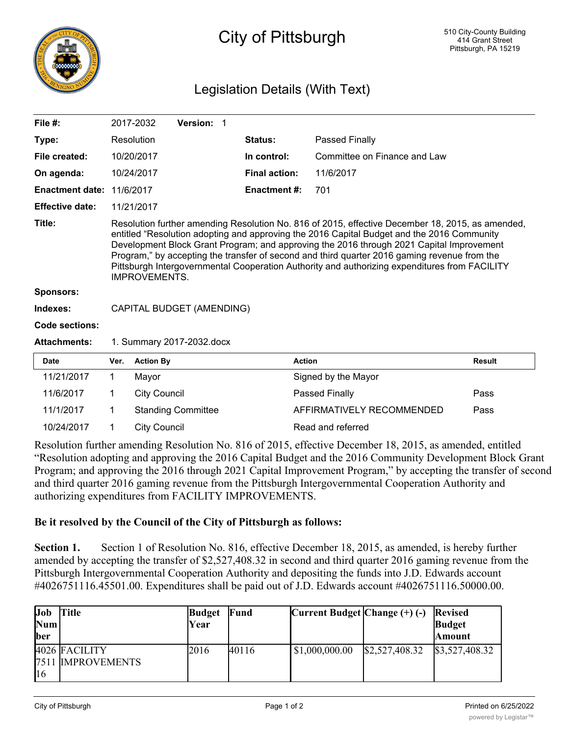

## City of Pittsburgh

## Legislation Details (With Text)

| File $#$ :             |                                                                                                                                                                                                                                                                                                                                                                                                                                                                                                                     | 2017-2032           | Version: 1                |                |                      |                              |               |  |  |
|------------------------|---------------------------------------------------------------------------------------------------------------------------------------------------------------------------------------------------------------------------------------------------------------------------------------------------------------------------------------------------------------------------------------------------------------------------------------------------------------------------------------------------------------------|---------------------|---------------------------|----------------|----------------------|------------------------------|---------------|--|--|
| Type:                  |                                                                                                                                                                                                                                                                                                                                                                                                                                                                                                                     | Resolution          |                           | Status:        | Passed Finally       |                              |               |  |  |
| File created:          |                                                                                                                                                                                                                                                                                                                                                                                                                                                                                                                     | 10/20/2017          |                           |                | In control:          | Committee on Finance and Law |               |  |  |
| On agenda:             | 10/24/2017                                                                                                                                                                                                                                                                                                                                                                                                                                                                                                          |                     |                           |                | <b>Final action:</b> | 11/6/2017                    |               |  |  |
| <b>Enactment date:</b> | 11/6/2017                                                                                                                                                                                                                                                                                                                                                                                                                                                                                                           |                     |                           |                | <b>Enactment #:</b>  | 701                          |               |  |  |
| <b>Effective date:</b> |                                                                                                                                                                                                                                                                                                                                                                                                                                                                                                                     | 11/21/2017          |                           |                |                      |                              |               |  |  |
| Title:                 | Resolution further amending Resolution No. 816 of 2015, effective December 18, 2015, as amended,<br>entitled "Resolution adopting and approving the 2016 Capital Budget and the 2016 Community<br>Development Block Grant Program; and approving the 2016 through 2021 Capital Improvement<br>Program," by accepting the transfer of second and third quarter 2016 gaming revenue from the<br>Pittsburgh Intergovernmental Cooperation Authority and authorizing expenditures from FACILITY<br><b>IMPROVEMENTS.</b> |                     |                           |                |                      |                              |               |  |  |
| <b>Sponsors:</b>       |                                                                                                                                                                                                                                                                                                                                                                                                                                                                                                                     |                     |                           |                |                      |                              |               |  |  |
| Indexes:               | CAPITAL BUDGET (AMENDING)                                                                                                                                                                                                                                                                                                                                                                                                                                                                                           |                     |                           |                |                      |                              |               |  |  |
| Code sections:         |                                                                                                                                                                                                                                                                                                                                                                                                                                                                                                                     |                     |                           |                |                      |                              |               |  |  |
| <b>Attachments:</b>    | 1. Summary 2017-2032.docx                                                                                                                                                                                                                                                                                                                                                                                                                                                                                           |                     |                           |                |                      |                              |               |  |  |
| <b>Date</b>            | Ver.                                                                                                                                                                                                                                                                                                                                                                                                                                                                                                                | <b>Action By</b>    |                           |                |                      | <b>Action</b>                | <b>Result</b> |  |  |
| 11/21/2017             | 1                                                                                                                                                                                                                                                                                                                                                                                                                                                                                                                   | Mayor               |                           |                |                      | Signed by the Mayor          |               |  |  |
| 11/6/2017              | 1                                                                                                                                                                                                                                                                                                                                                                                                                                                                                                                   | <b>City Council</b> |                           | Passed Finally |                      |                              | Pass          |  |  |
| 11/1/2017              | 1                                                                                                                                                                                                                                                                                                                                                                                                                                                                                                                   |                     | <b>Standing Committee</b> |                |                      | AFFIRMATIVELY RECOMMENDED    | Pass          |  |  |
| 10/24/2017             | 1                                                                                                                                                                                                                                                                                                                                                                                                                                                                                                                   | <b>City Council</b> |                           |                |                      | Read and referred            |               |  |  |

Resolution further amending Resolution No. 816 of 2015, effective December 18, 2015, as amended, entitled "Resolution adopting and approving the 2016 Capital Budget and the 2016 Community Development Block Grant Program; and approving the 2016 through 2021 Capital Improvement Program," by accepting the transfer of second and third quarter 2016 gaming revenue from the Pittsburgh Intergovernmental Cooperation Authority and authorizing expenditures from FACILITY IMPROVEMENTS.

## **Be it resolved by the Council of the City of Pittsburgh as follows:**

**Section 1.** Section 1 of Resolution No. 816, effective December 18, 2015, as amended, is hereby further amended by accepting the transfer of \$2,527,408.32 in second and third quarter 2016 gaming revenue from the Pittsburgh Intergovernmental Cooperation Authority and depositing the funds into J.D. Edwards account #4026751116.45501.00. Expenditures shall be paid out of J.D. Edwards account #4026751116.50000.00.

| Job<br><b>Num</b><br>ber | <b>Title</b>                       | <b>Budget</b><br>Year | Fund  | $Current Budget Change(+)$ (-) |                | <b>Revised</b><br><b>Budget</b><br><b>Amount</b> |
|--------------------------|------------------------------------|-----------------------|-------|--------------------------------|----------------|--------------------------------------------------|
| 116                      | 4026 FACILITY<br>7511 IMPROVEMENTS | 2016                  | 40116 | \$1,000,000.00                 | \$2,527,408.32 | \$3,527,408.32                                   |